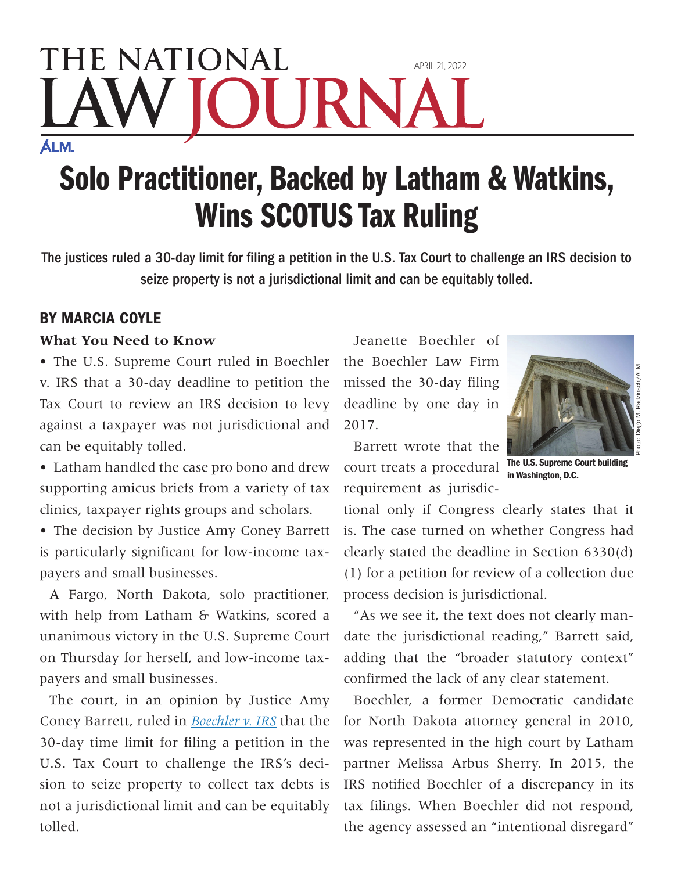## THE NATIONAL April 21, 2022 JRN **ÁLM.**

## Solo Practitioner, Backed by Latham & Watkins, Wins SCOTUS Tax Ruling

The justices ruled a 30-day limit for filing a petition in the U.S. Tax Court to challenge an IRS decision to seize property is not a jurisdictional limit and can be equitably tolled.

## By Marcia Coyle

## **What You Need to Know**

• The U.S. Supreme Court ruled in Boechler v. IRS that a 30-day deadline to petition the Tax Court to review an IRS decision to levy against a taxpayer was not jurisdictional and can be equitably tolled.

• Latham handled the case pro bono and drew supporting amicus briefs from a variety of tax clinics, taxpayer rights groups and scholars.

• The decision by Justice Amy Coney Barrett is particularly significant for low-income taxpayers and small businesses.

A Fargo, North Dakota, solo practitioner, with help from Latham & Watkins, scored a unanimous victory in the U.S. Supreme Court on Thursday for herself, and low-income taxpayers and small businesses.

The court, in an opinion by Justice Amy Coney Barrett, ruled in *Boechler v. IRS* that the 30-day time limit for filing a petition in the U.S. Tax Court to challenge the IRS's decision to seize property to collect tax debts is not a jurisdictional limit and can be equitably tolled.

Jeanette Boechler of the Boechler Law Firm missed the 30-day filing deadline by one day in 2017.



in Washington, D.C.

Photo: Diego M. Radzinschi/ALM

Barrett wrote that the court treats a procedural requirement as jurisdic-

tional only if Congress clearly states that it is. The case turned on whether Congress had clearly stated the deadline in Section 6330(d) (1) for a petition for review of a collection due process decision is jurisdictional.

"As we see it, the text does not clearly mandate the jurisdictional reading," Barrett said, adding that the "broader statutory context" confirmed the lack of any clear statement.

Boechler, a former Democratic candidate for North Dakota attorney general in 2010, was represented in the high court by Latham partner Melissa Arbus Sherry. In 2015, the IRS notified Boechler of a discrepancy in its tax filings. When Boechler did not respond, the agency assessed an "intentional disregard"